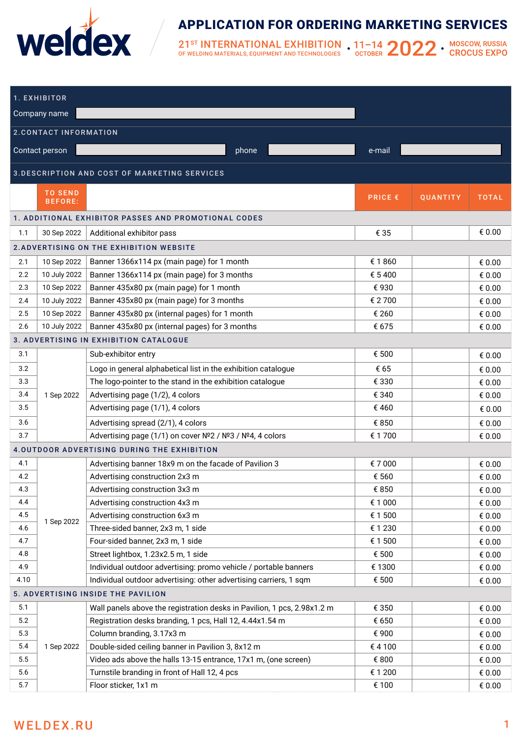

## APPLICATION FOR ORDERING MARKETING SERVICES

 $21^{\rm ST}$  INTERNATIONAL EXHIBITION<br>of welding materials, equipment and technologies

| 1. EXHIBITOR                                         |                                  |                                                                         |                |          |                  |  |  |  |  |  |  |
|------------------------------------------------------|----------------------------------|-------------------------------------------------------------------------|----------------|----------|------------------|--|--|--|--|--|--|
| Company name                                         |                                  |                                                                         |                |          |                  |  |  |  |  |  |  |
|                                                      |                                  |                                                                         |                |          |                  |  |  |  |  |  |  |
| <b>2.CONTACT INFORMATION</b>                         |                                  |                                                                         |                |          |                  |  |  |  |  |  |  |
|                                                      | Contact person                   | phone                                                                   | e-mail         |          |                  |  |  |  |  |  |  |
| 3. DESCRIPTION AND COST OF MARKETING SERVICES        |                                  |                                                                         |                |          |                  |  |  |  |  |  |  |
|                                                      | <b>TO SEND</b><br><b>BEFORE:</b> |                                                                         | <b>PRICE €</b> | QUANTITY | <b>TOTAL</b>     |  |  |  |  |  |  |
| 1. ADDITIONAL EXHIBITOR PASSES AND PROMOTIONAL CODES |                                  |                                                                         |                |          |                  |  |  |  |  |  |  |
| 1.1                                                  | 30 Sep 2022                      | Additional exhibitor pass                                               | € 35           |          | € 0.00           |  |  |  |  |  |  |
|                                                      |                                  | 2. ADVERTISING ON THE EXHIBITION WEBSITE                                |                |          |                  |  |  |  |  |  |  |
| 2.1                                                  | 10 Sep 2022                      | Banner 1366x114 px (main page) for 1 month                              | € 1860         |          | € 0.00           |  |  |  |  |  |  |
| 2.2                                                  | 10 July 2022                     | Banner 1366x114 px (main page) for 3 months                             | € 5400         |          | € 0.00           |  |  |  |  |  |  |
| 2.3                                                  | 10 Sep 2022                      | Banner 435x80 px (main page) for 1 month                                | €930           |          | € $0.00$         |  |  |  |  |  |  |
| 2.4                                                  | 10 July 2022                     | Banner 435x80 px (main page) for 3 months                               | € 2700         |          | € 0.00           |  |  |  |  |  |  |
| 2.5                                                  | 10 Sep 2022                      | Banner 435x80 px (internal pages) for 1 month                           | € 260          |          | € 0.00           |  |  |  |  |  |  |
| 2.6                                                  | 10 July 2022                     | Banner 435x80 px (internal pages) for 3 months                          | € 675          |          | € 0.00           |  |  |  |  |  |  |
|                                                      |                                  | 3. ADVERTISING IN EXHIBITION CATALOGUE                                  |                |          |                  |  |  |  |  |  |  |
| 3.1                                                  |                                  | Sub-exhibitor entry                                                     | € 500          |          | € 0.00           |  |  |  |  |  |  |
| 3.2                                                  |                                  | Logo in general alphabetical list in the exhibition catalogue           | € 65           |          | € 0.00           |  |  |  |  |  |  |
| 3.3                                                  |                                  | The logo-pointer to the stand in the exhibition catalogue               | € 330          |          | € 0.00           |  |  |  |  |  |  |
| 3.4                                                  | 1 Sep 2022                       | Advertising page (1/2), 4 colors                                        | € 340          |          | € 0.00           |  |  |  |  |  |  |
| 3.5                                                  |                                  | Advertising page (1/1), 4 colors                                        | € 460          |          | € 0.00           |  |  |  |  |  |  |
| 3.6                                                  |                                  | Advertising spread (2/1), 4 colors                                      | € 850          |          | € 0.00           |  |  |  |  |  |  |
| 3.7                                                  |                                  | Advertising page (1/1) on cover Nº2 / Nº3 / Nº4, 4 colors               | € 1 700        |          | € 0.00           |  |  |  |  |  |  |
|                                                      |                                  | 4.OUTDOOR ADVERTISING DURING THE EXHIBITION                             |                |          |                  |  |  |  |  |  |  |
|                                                      |                                  |                                                                         |                |          |                  |  |  |  |  |  |  |
| 4.1                                                  |                                  | Advertising banner 18x9 m on the facade of Pavilion 3                   | €7000          |          | € 0.00           |  |  |  |  |  |  |
| 4.2<br>4.3                                           |                                  | Advertising construction 2x3 m                                          | € 560<br>€ 850 |          | € 0.00           |  |  |  |  |  |  |
| 4.4                                                  |                                  | Advertising construction 3x3 m<br>Advertising construction 4x3 m        | € 1 000        |          | € 0.00           |  |  |  |  |  |  |
| 4.5                                                  |                                  | Advertising construction 6x3 m                                          | € 1 500        |          | € 0.00           |  |  |  |  |  |  |
| 4.6                                                  | 1 Sep 2022                       | Three-sided banner, 2x3 m, 1 side                                       | € 1 230        |          | € 0.00           |  |  |  |  |  |  |
| 4.7                                                  |                                  | Four-sided banner, 2x3 m, 1 side                                        | € 1 500        |          | € 0.00<br>€ 0.00 |  |  |  |  |  |  |
| 4.8                                                  |                                  | Street lightbox, 1.23x2.5 m, 1 side                                     | € 500          |          | € 0.00           |  |  |  |  |  |  |
| 4.9                                                  |                                  | Individual outdoor advertising: promo vehicle / portable banners        | € 1300         |          | € 0.00           |  |  |  |  |  |  |
| 4.10                                                 |                                  | Individual outdoor advertising: other advertising carriers, 1 sqm       | € 500          |          | € 0.00           |  |  |  |  |  |  |
|                                                      |                                  | 5. ADVERTISING INSIDE THE PAVILION                                      |                |          |                  |  |  |  |  |  |  |
| 5.1                                                  |                                  | Wall panels above the registration desks in Pavilion, 1 pcs, 2.98x1.2 m | € 350          |          | € 0.00           |  |  |  |  |  |  |
| 5.2                                                  |                                  | Registration desks branding, 1 pcs, Hall 12, 4.44x1.54 m                | € 650          |          | € 0.00           |  |  |  |  |  |  |
| 5.3                                                  |                                  | Column branding, 3.17x3 m                                               | € 900          |          | € 0.00           |  |  |  |  |  |  |
| 5.4                                                  | 1 Sep 2022                       | Double-sided ceiling banner in Pavilion 3, 8x12 m                       | €4100          |          | € 0.00           |  |  |  |  |  |  |
| 5.5                                                  |                                  | Video ads above the halls 13-15 entrance, 17x1 m, (one screen)          | € 800          |          | € 0.00           |  |  |  |  |  |  |
| 5.6                                                  |                                  | Turnstile branding in front of Hall 12, 4 pcs                           | € 1 200        |          | € 0.00           |  |  |  |  |  |  |
| 5.7                                                  |                                  | Floor sticker, 1x1 m                                                    | € 100          |          | € 0.00           |  |  |  |  |  |  |
|                                                      | <b>WELDEX.RU</b>                 |                                                                         |                |          | $\mathbf 1$      |  |  |  |  |  |  |